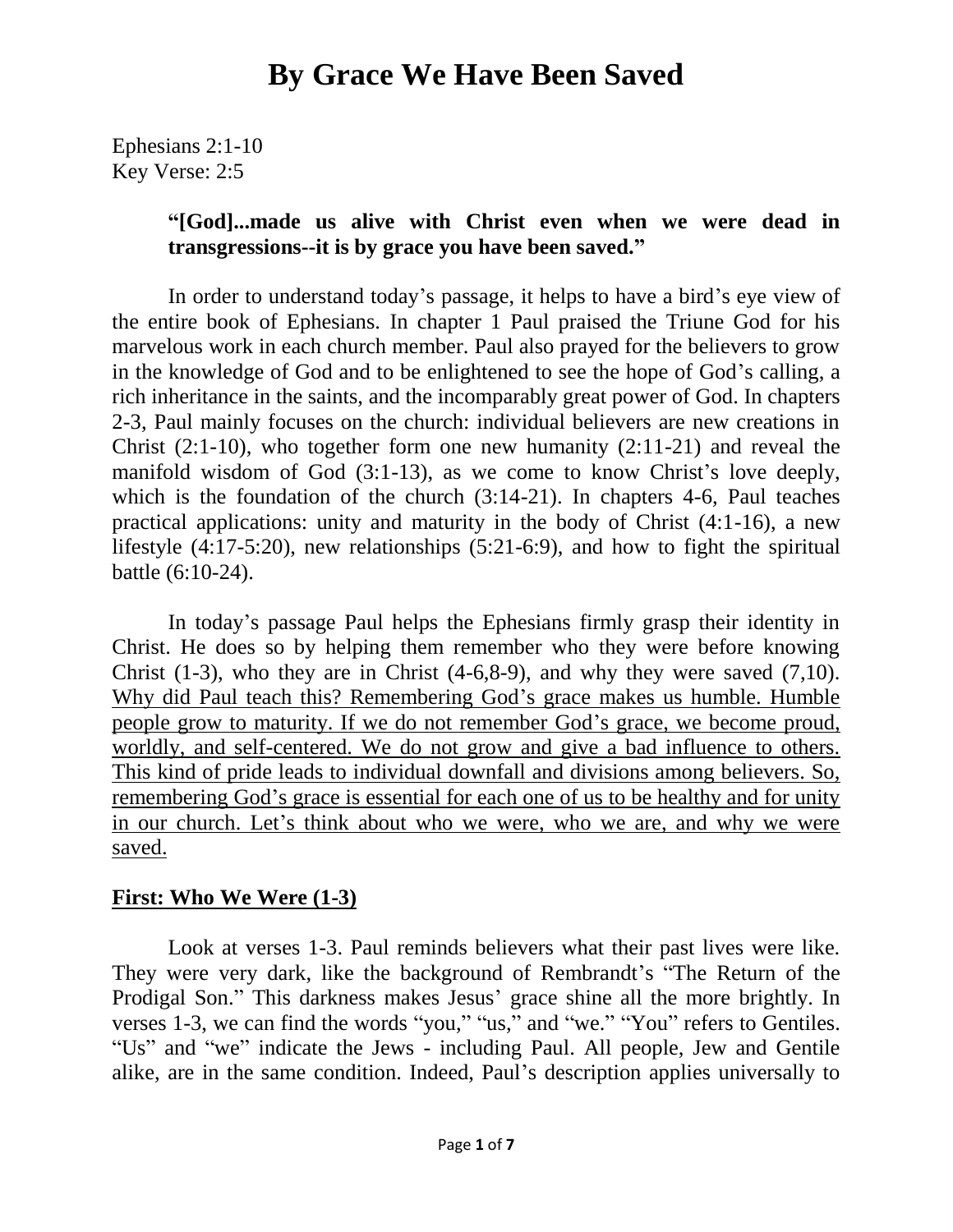Ephesians 2:1-10 Key Verse: 2:5

#### **"[God]...made us alive with Christ even when we were dead in transgressions--it is by grace you have been saved."**

In order to understand today's passage, it helps to have a bird's eye view of the entire book of Ephesians. In chapter 1 Paul praised the Triune God for his marvelous work in each church member. Paul also prayed for the believers to grow in the knowledge of God and to be enlightened to see the hope of God's calling, a rich inheritance in the saints, and the incomparably great power of God. In chapters 2-3, Paul mainly focuses on the church: individual believers are new creations in Christ  $(2:1-10)$ , who together form one new humanity  $(2:11-21)$  and reveal the manifold wisdom of God (3:1-13), as we come to know Christ's love deeply, which is the foundation of the church (3:14-21). In chapters 4-6, Paul teaches practical applications: unity and maturity in the body of Christ (4:1-16), a new lifestyle (4:17-5:20), new relationships (5:21-6:9), and how to fight the spiritual battle (6:10-24).

In today's passage Paul helps the Ephesians firmly grasp their identity in Christ. He does so by helping them remember who they were before knowing Christ  $(1-3)$ , who they are in Christ  $(4-6,8-9)$ , and why they were saved  $(7,10)$ . Why did Paul teach this? Remembering God's grace makes us humble. Humble people grow to maturity. If we do not remember God's grace, we become proud, worldly, and self-centered. We do not grow and give a bad influence to others. This kind of pride leads to individual downfall and divisions among believers. So, remembering God's grace is essential for each one of us to be healthy and for unity in our church. Let's think about who we were, who we are, and why we were saved.

#### **First: Who We Were (1-3)**

Look at verses 1-3. Paul reminds believers what their past lives were like. They were very dark, like the background of Rembrandt's "The Return of the Prodigal Son." This darkness makes Jesus' grace shine all the more brightly. In verses 1-3, we can find the words "you," "us," and "we." "You" refers to Gentiles. "Us" and "we" indicate the Jews - including Paul. All people, Jew and Gentile alike, are in the same condition. Indeed, Paul's description applies universally to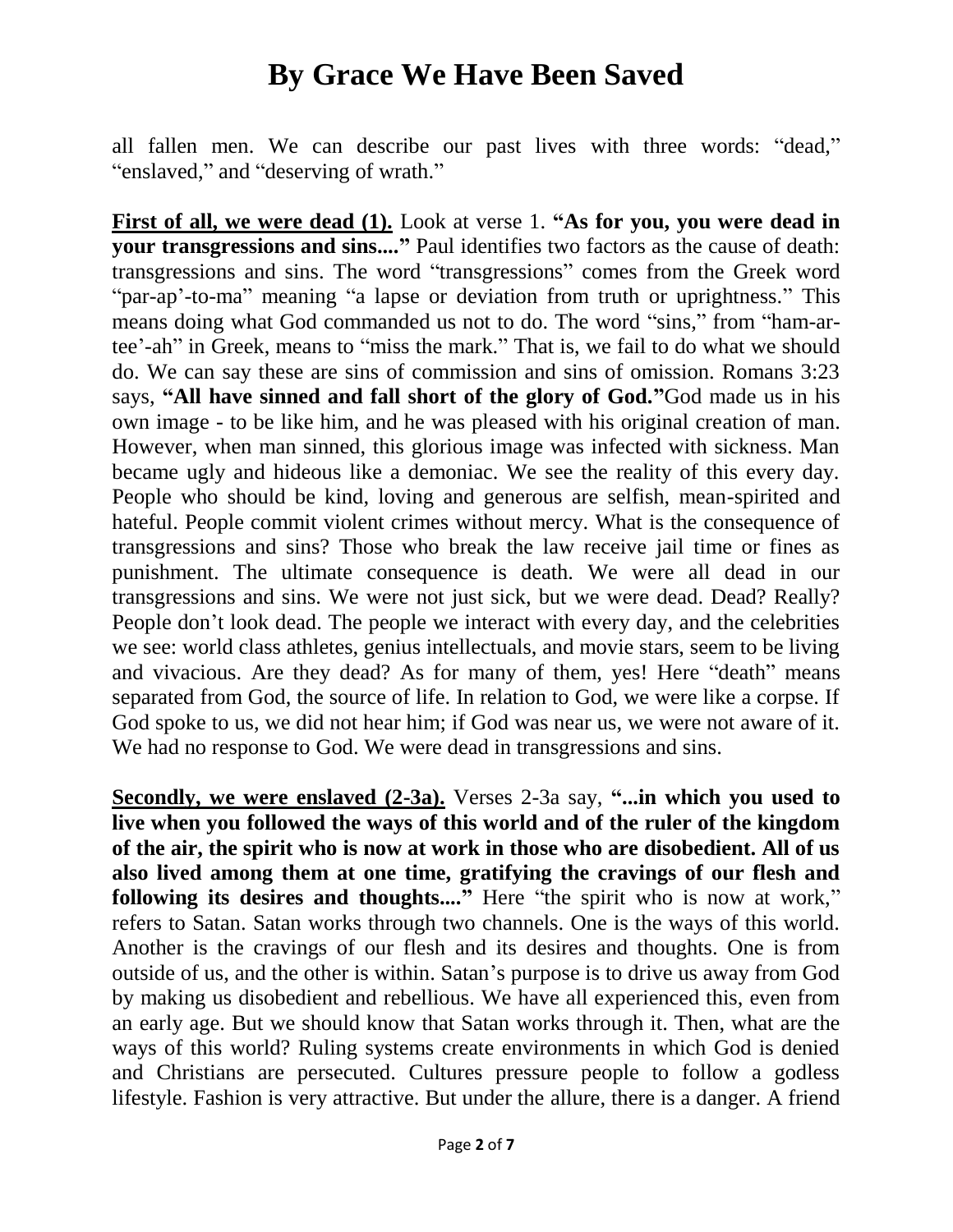all fallen men. We can describe our past lives with three words: "dead," "enslaved," and "deserving of wrath."

**First of all, we were dead (1).** Look at verse 1. **"As for you, you were dead in your transgressions and sins...."** Paul identifies two factors as the cause of death: transgressions and sins. The word "transgressions" comes from the Greek word "par-ap'-to-ma" meaning "a lapse or deviation from truth or uprightness." This means doing what God commanded us not to do. The word "sins," from "ham-artee'-ah" in Greek, means to "miss the mark." That is, we fail to do what we should do. We can say these are sins of commission and sins of omission. Romans 3:23 says, **"All have sinned and fall short of the glory of God."**God made us in his own image - to be like him, and he was pleased with his original creation of man. However, when man sinned, this glorious image was infected with sickness. Man became ugly and hideous like a demoniac. We see the reality of this every day. People who should be kind, loving and generous are selfish, mean-spirited and hateful. People commit violent crimes without mercy. What is the consequence of transgressions and sins? Those who break the law receive jail time or fines as punishment. The ultimate consequence is death. We were all dead in our transgressions and sins. We were not just sick, but we were dead. Dead? Really? People don't look dead. The people we interact with every day, and the celebrities we see: world class athletes, genius intellectuals, and movie stars, seem to be living and vivacious. Are they dead? As for many of them, yes! Here "death" means separated from God, the source of life. In relation to God, we were like a corpse. If God spoke to us, we did not hear him; if God was near us, we were not aware of it. We had no response to God. We were dead in transgressions and sins.

**Secondly, we were enslaved (2-3a).** Verses 2-3a say, **"...in which you used to live when you followed the ways of this world and of the ruler of the kingdom of the air, the spirit who is now at work in those who are disobedient. All of us also lived among them at one time, gratifying the cravings of our flesh and following its desires and thoughts...."** Here "the spirit who is now at work," refers to Satan. Satan works through two channels. One is the ways of this world. Another is the cravings of our flesh and its desires and thoughts. One is from outside of us, and the other is within. Satan's purpose is to drive us away from God by making us disobedient and rebellious. We have all experienced this, even from an early age. But we should know that Satan works through it. Then, what are the ways of this world? Ruling systems create environments in which God is denied and Christians are persecuted. Cultures pressure people to follow a godless lifestyle. Fashion is very attractive. But under the allure, there is a danger. A friend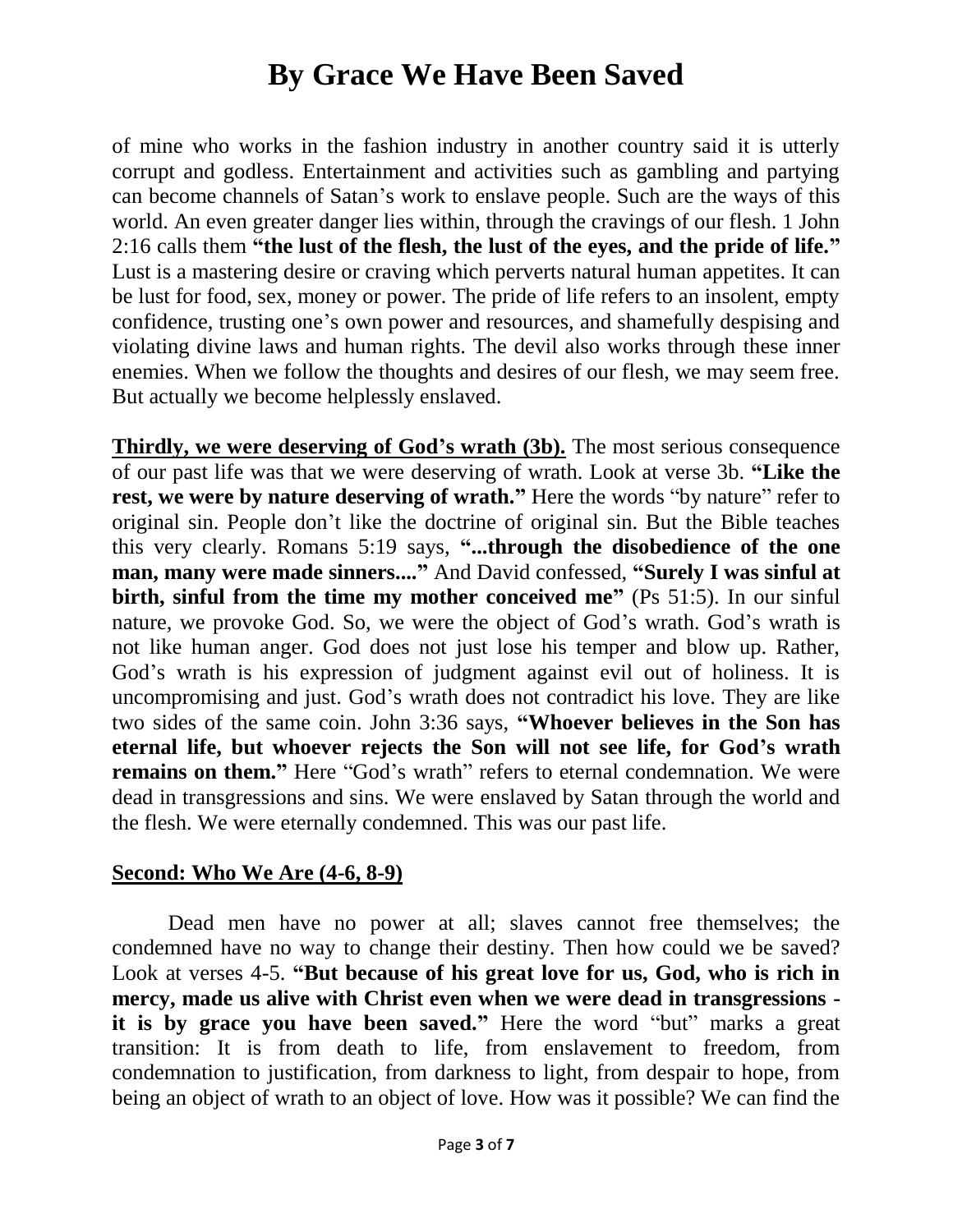of mine who works in the fashion industry in another country said it is utterly corrupt and godless. Entertainment and activities such as gambling and partying can become channels of Satan's work to enslave people. Such are the ways of this world. An even greater danger lies within, through the cravings of our flesh. 1 John 2:16 calls them **"the lust of the flesh, the lust of the eyes, and the pride of life."** Lust is a mastering desire or craving which perverts natural human appetites. It can be lust for food, sex, money or power. The pride of life refers to an insolent, empty confidence, trusting one's own power and resources, and shamefully despising and violating divine laws and human rights. The devil also works through these inner enemies. When we follow the thoughts and desires of our flesh, we may seem free. But actually we become helplessly enslaved.

**Thirdly, we were deserving of God's wrath (3b).** The most serious consequence of our past life was that we were deserving of wrath. Look at verse 3b. **"Like the rest, we were by nature deserving of wrath."** Here the words "by nature" refer to original sin. People don't like the doctrine of original sin. But the Bible teaches this very clearly. Romans 5:19 says, **"...through the disobedience of the one man, many were made sinners...."** And David confessed, **"Surely I was sinful at birth, sinful from the time my mother conceived me"** (Ps 51:5). In our sinful nature, we provoke God. So, we were the object of God's wrath. God's wrath is not like human anger. God does not just lose his temper and blow up. Rather, God's wrath is his expression of judgment against evil out of holiness. It is uncompromising and just. God's wrath does not contradict his love. They are like two sides of the same coin. John 3:36 says, **"Whoever believes in the Son has eternal life, but whoever rejects the Son will not see life, for God's wrath remains on them."** Here "God's wrath" refers to eternal condemnation. We were dead in transgressions and sins. We were enslaved by Satan through the world and the flesh. We were eternally condemned. This was our past life.

#### **Second: Who We Are (4-6, 8-9)**

Dead men have no power at all; slaves cannot free themselves; the condemned have no way to change their destiny. Then how could we be saved? Look at verses 4-5. **"But because of his great love for us, God, who is rich in mercy, made us alive with Christ even when we were dead in transgressions it is by grace you have been saved."** Here the word "but" marks a great transition: It is from death to life, from enslavement to freedom, from condemnation to justification, from darkness to light, from despair to hope, from being an object of wrath to an object of love. How was it possible? We can find the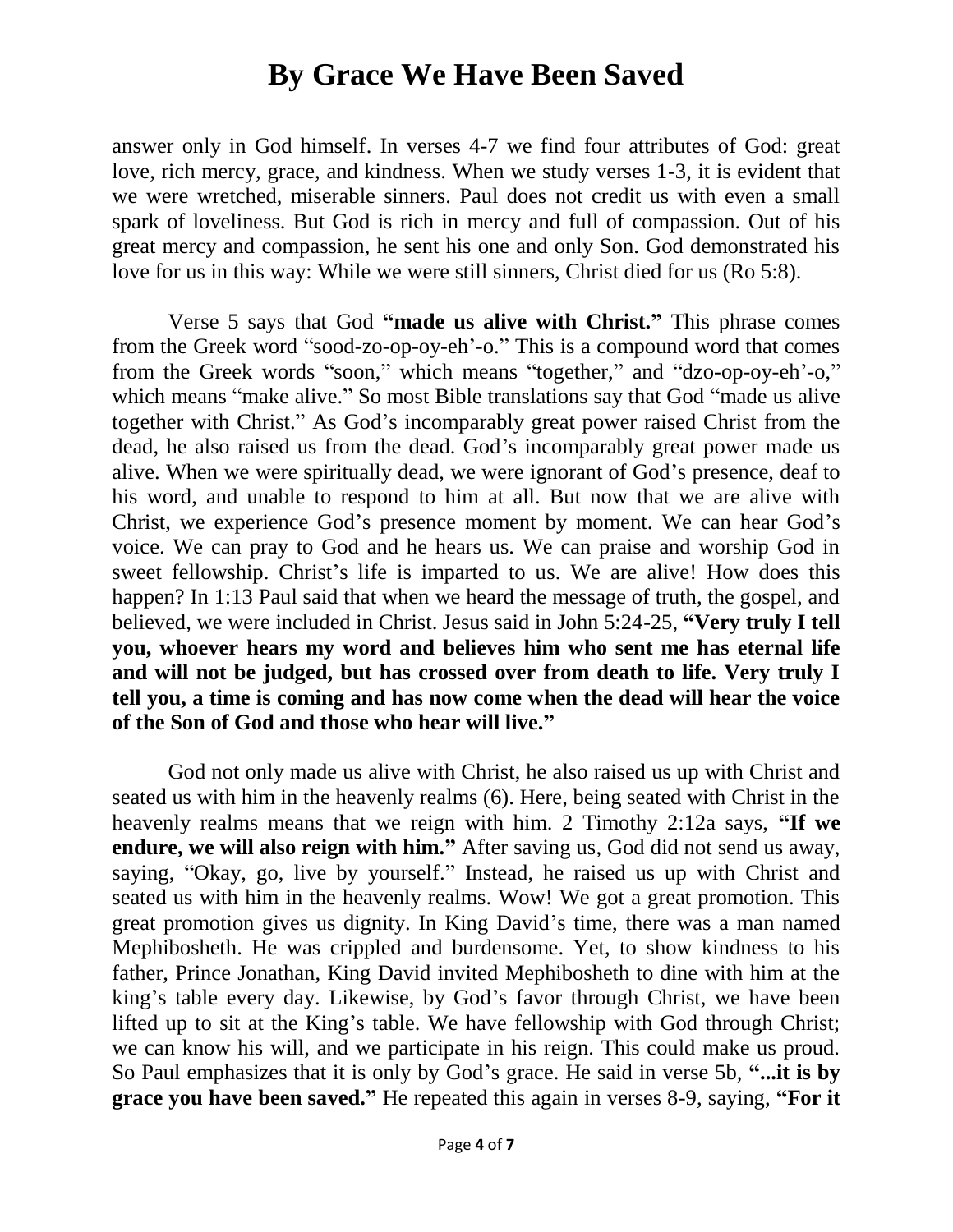answer only in God himself. In verses 4-7 we find four attributes of God: great love, rich mercy, grace, and kindness. When we study verses 1-3, it is evident that we were wretched, miserable sinners. Paul does not credit us with even a small spark of loveliness. But God is rich in mercy and full of compassion. Out of his great mercy and compassion, he sent his one and only Son. God demonstrated his love for us in this way: While we were still sinners, Christ died for us (Ro 5:8).

Verse 5 says that God **"made us alive with Christ."** This phrase comes from the Greek word "sood-zo-op-oy-eh'-o." This is a compound word that comes from the Greek words "soon," which means "together," and "dzo-op-oy-eh'-o," which means "make alive." So most Bible translations say that God "made us alive together with Christ." As God's incomparably great power raised Christ from the dead, he also raised us from the dead. God's incomparably great power made us alive. When we were spiritually dead, we were ignorant of God's presence, deaf to his word, and unable to respond to him at all. But now that we are alive with Christ, we experience God's presence moment by moment. We can hear God's voice. We can pray to God and he hears us. We can praise and worship God in sweet fellowship. Christ's life is imparted to us. We are alive! How does this happen? In 1:13 Paul said that when we heard the message of truth, the gospel, and believed, we were included in Christ. Jesus said in John 5:24-25, **"Very truly I tell you, whoever hears my word and believes him who sent me has eternal life and will not be judged, but has crossed over from death to life. Very truly I tell you, a time is coming and has now come when the dead will hear the voice of the Son of God and those who hear will live."**

God not only made us alive with Christ, he also raised us up with Christ and seated us with him in the heavenly realms (6). Here, being seated with Christ in the heavenly realms means that we reign with him. 2 Timothy 2:12a says, **"If we endure, we will also reign with him."** After saving us, God did not send us away, saying, "Okay, go, live by yourself." Instead, he raised us up with Christ and seated us with him in the heavenly realms. Wow! We got a great promotion. This great promotion gives us dignity. In King David's time, there was a man named Mephibosheth. He was crippled and burdensome. Yet, to show kindness to his father, Prince Jonathan, King David invited Mephibosheth to dine with him at the king's table every day. Likewise, by God's favor through Christ, we have been lifted up to sit at the King's table. We have fellowship with God through Christ; we can know his will, and we participate in his reign. This could make us proud. So Paul emphasizes that it is only by God's grace. He said in verse 5b, **"...it is by grace you have been saved."** He repeated this again in verses 8-9, saying, **"For it**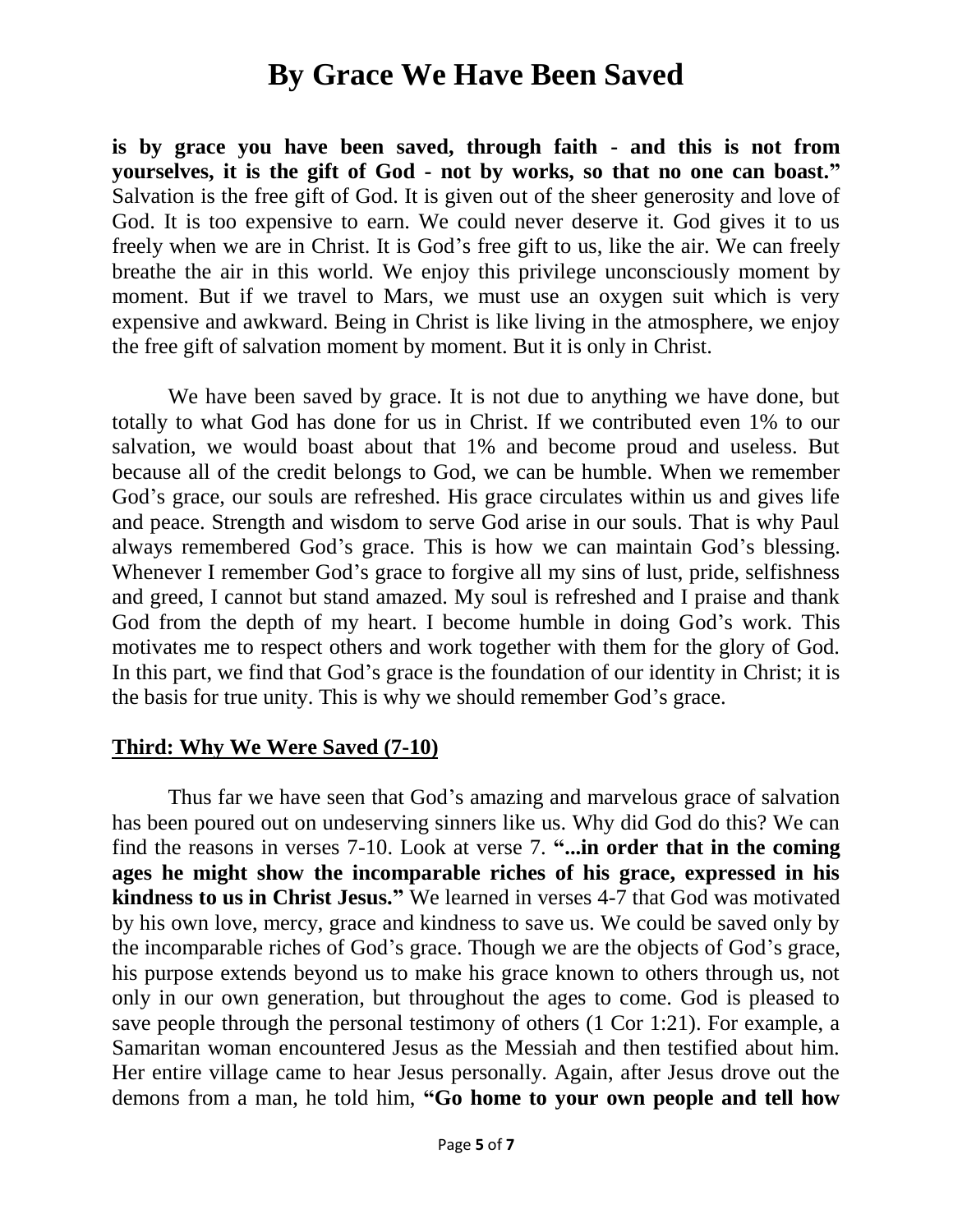**is by grace you have been saved, through faith - and this is not from yourselves, it is the gift of God - not by works, so that no one can boast."** Salvation is the free gift of God. It is given out of the sheer generosity and love of God. It is too expensive to earn. We could never deserve it. God gives it to us freely when we are in Christ. It is God's free gift to us, like the air. We can freely breathe the air in this world. We enjoy this privilege unconsciously moment by moment. But if we travel to Mars, we must use an oxygen suit which is very expensive and awkward. Being in Christ is like living in the atmosphere, we enjoy the free gift of salvation moment by moment. But it is only in Christ.

We have been saved by grace. It is not due to anything we have done, but totally to what God has done for us in Christ. If we contributed even 1% to our salvation, we would boast about that 1% and become proud and useless. But because all of the credit belongs to God, we can be humble. When we remember God's grace, our souls are refreshed. His grace circulates within us and gives life and peace. Strength and wisdom to serve God arise in our souls. That is why Paul always remembered God's grace. This is how we can maintain God's blessing. Whenever I remember God's grace to forgive all my sins of lust, pride, selfishness and greed, I cannot but stand amazed. My soul is refreshed and I praise and thank God from the depth of my heart. I become humble in doing God's work. This motivates me to respect others and work together with them for the glory of God. In this part, we find that God's grace is the foundation of our identity in Christ; it is the basis for true unity. This is why we should remember God's grace.

#### **Third: Why We Were Saved (7-10)**

Thus far we have seen that God's amazing and marvelous grace of salvation has been poured out on undeserving sinners like us. Why did God do this? We can find the reasons in verses 7-10. Look at verse 7. **"...in order that in the coming ages he might show the incomparable riches of his grace, expressed in his kindness to us in Christ Jesus."** We learned in verses 4-7 that God was motivated by his own love, mercy, grace and kindness to save us. We could be saved only by the incomparable riches of God's grace. Though we are the objects of God's grace, his purpose extends beyond us to make his grace known to others through us, not only in our own generation, but throughout the ages to come. God is pleased to save people through the personal testimony of others (1 Cor 1:21). For example, a Samaritan woman encountered Jesus as the Messiah and then testified about him. Her entire village came to hear Jesus personally. Again, after Jesus drove out the demons from a man, he told him, **"Go home to your own people and tell how**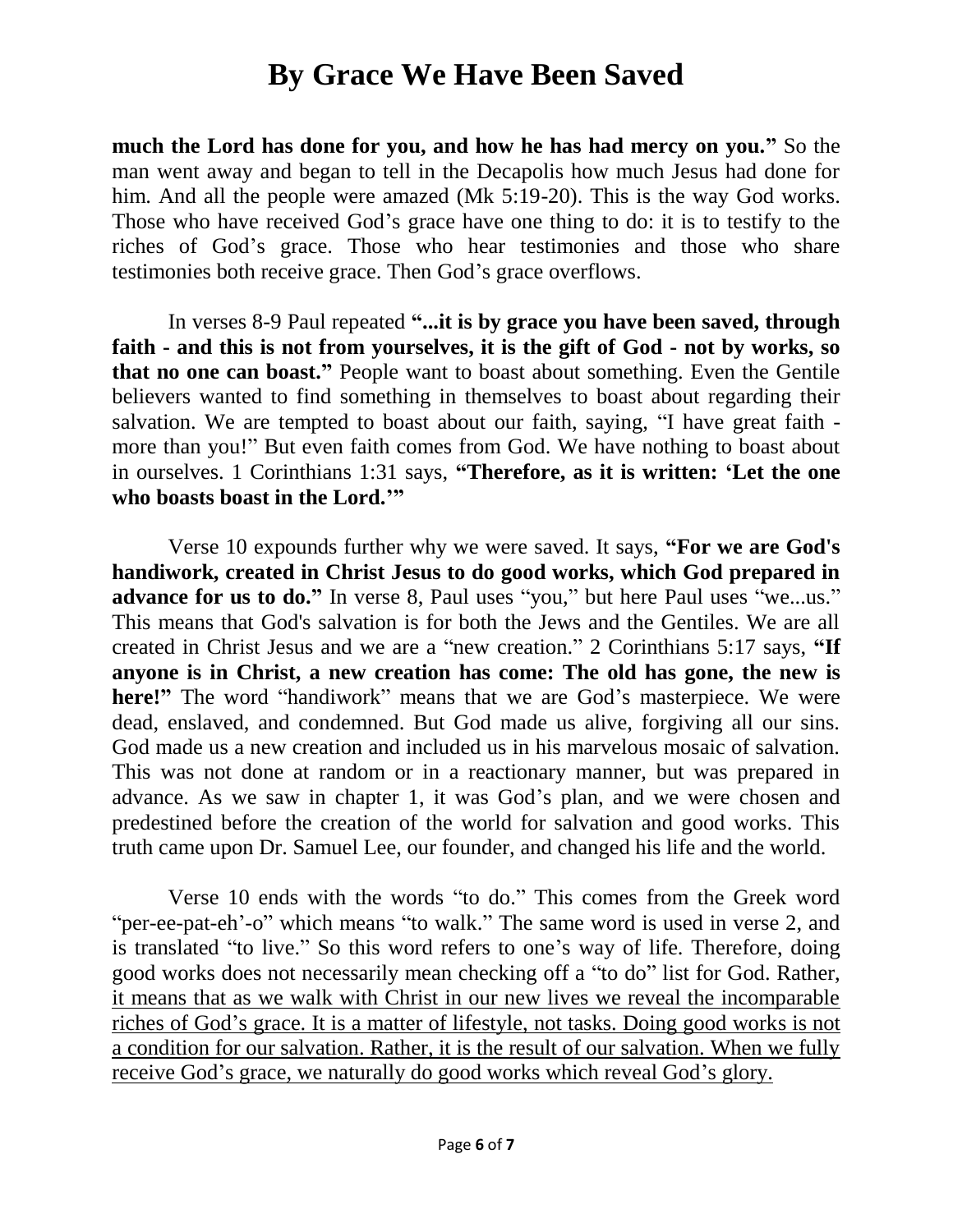**much the Lord has done for you, and how he has had mercy on you."** So the man went away and began to tell in the Decapolis how much Jesus had done for him. And all the people were amazed (Mk 5:19-20). This is the way God works. Those who have received God's grace have one thing to do: it is to testify to the riches of God's grace. Those who hear testimonies and those who share testimonies both receive grace. Then God's grace overflows.

In verses 8-9 Paul repeated **"...it is by grace you have been saved, through faith - and this is not from yourselves, it is the gift of God - not by works, so that no one can boast."** People want to boast about something. Even the Gentile believers wanted to find something in themselves to boast about regarding their salvation. We are tempted to boast about our faith, saying, "I have great faith more than you!" But even faith comes from God. We have nothing to boast about in ourselves. 1 Corinthians 1:31 says, **"Therefore, as it is written: 'Let the one who boasts boast in the Lord.'"**

Verse 10 expounds further why we were saved. It says, **"For we are God's handiwork, created in Christ Jesus to do good works, which God prepared in advance for us to do."** In verse 8, Paul uses "you," but here Paul uses "we...us." This means that God's salvation is for both the Jews and the Gentiles. We are all created in Christ Jesus and we are a "new creation." 2 Corinthians 5:17 says, **"If anyone is in Christ, a new creation has come: The old has gone, the new is**  here!" The word "handiwork" means that we are God's masterpiece. We were dead, enslaved, and condemned. But God made us alive, forgiving all our sins. God made us a new creation and included us in his marvelous mosaic of salvation. This was not done at random or in a reactionary manner, but was prepared in advance. As we saw in chapter 1, it was God's plan, and we were chosen and predestined before the creation of the world for salvation and good works. This truth came upon Dr. Samuel Lee, our founder, and changed his life and the world.

Verse 10 ends with the words "to do." This comes from the Greek word "per-ee-pat-eh'-o" which means "to walk." The same word is used in verse 2, and is translated "to live." So this word refers to one's way of life. Therefore, doing good works does not necessarily mean checking off a "to do" list for God. Rather, it means that as we walk with Christ in our new lives we reveal the incomparable riches of God's grace. It is a matter of lifestyle, not tasks. Doing good works is not a condition for our salvation. Rather, it is the result of our salvation. When we fully receive God's grace, we naturally do good works which reveal God's glory.